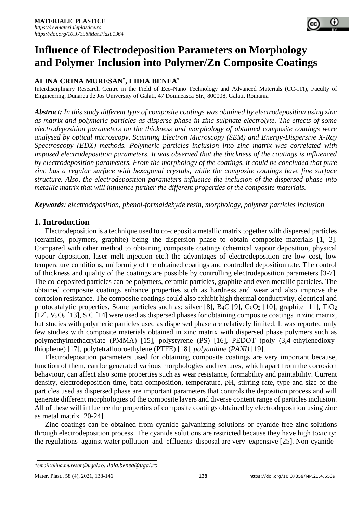# **Influence of Electrodeposition Parameters on Morphology and Polymer Inclusion into Polymer/Zn Composite Coatings**

# **ALINA CRINA MURESAN\* , LIDIA BENEA\***

Interdisciplinary Research Centre in the Field of Eco-Nano Technology and Advanced Materials (CC-ITI), Faculty of Engineering, Dunarea de Jos University of Galati, 47 Domneasca Str., 800008, Galati, Romania

*Abstract: In this study different type of composite coatings was obtained by electrodeposition using zinc as matrix and polymeric particles as disperse phase in zinc sulphate electrolyte. The effects of some electrodeposition parameters on the thickness and morphology of obtained composite coatings were analysed by optical microscopy, Scanning Electron Microscopy (SEM) and Energy-Dispersive X-Ray Spectroscopy (EDX) methods. Polymeric particles inclusion into zinc matrix was correlated with imposed electrodeposition parameters. It was observed that the thickness of the coatings is influenced by electrodeposition parameters. From the morphology of the coatings, it could be concluded that pure zinc has a regular surface with hexagonal crystals, while the composite coatings have fine surface structure. Also, the electrodeposition parameters influence the inclusion of the dispersed phase into metallic matrix that will influence further the different properties of the composite materials.*

*Keywords: electrodeposition, phenol-formaldehyde resin, morphology, polymer particles inclusion*

# **1. Introduction**

Electrodeposition is a technique used to co-deposit a metallic matrix together with dispersed particles (ceramics, polymers, graphite) being the dispersion phase to obtain composite materials [1, 2]. Compared with other method to obtaining composite coatings (chemical vapour deposition, physical vapour deposition, laser melt injection etc.) the advantages of electrodeposition are low cost, low temperature conditions, uniformity of the obtained coatings and controlled deposition rate. The control of thickness and quality of the coatings are possible by controlling electrodeposition parameters [3-7]. The co-deposited particles can be polymers, ceramic particles, graphite and even metallic particles. The obtained composite coatings enhance properties such as hardness and wear and also improve the corrosion resistance. The composite coatings could also exhibit high thermal conductivity, electrical and photocatalytic properties. Some particles such as: silver [8],  $B_4C$  [9],  $CeO_2$  [10], graphite [11],  $TiO_2$  $[12]$ ,  $V_2O_5$  [13], SiC [14] were used as dispersed phases for obtaining composite coatings in zinc matrix, but studies with polymeric particles used as dispersed phase are relatively limited. It was reported only few studies with composite materials obtained in zinc matrix with dispersed phase polymers such as polymethylmethacrylate (PMMA) [15], polystyrene (PS) [16], PEDOT (poly (3,4-ethylenedioxythiophene) [17], polytetrafluoroethylene (PTFE) [18], *polyaniline* (*PANI)* [19].

Electrodeposition parameters used for obtaining composite coatings are very important because, function of them, can be generated various morphologies and textures, which apart from the corrosion behaviour, can affect also some properties such as wear resistance, formability and paintability. Current density, electrodeposition time, bath composition, temperature, *p*H, stirring rate, type and size of the particles used as dispersed phase are important parameters that controls the deposition process and will generate different morphologies of the composite layers and diverse content range of particles inclusion. All of these will influence the properties of composite coatings obtained by electrodeposition using zinc as metal matrix [20-24].

Zinc coatings can be obtained from cyanide galvanizing solutions or cyanide-free zinc solutions through electrodeposition process. The cyanide solutions are restricted because they have high toxicity; the regulations against water pollution and effluents disposal are very expensive [25]. Non-cyanide

*<sup>\*</sup>email[:alina.muresan@ugal.ro](mailto:alina.muresan@ugal.ro)[, lidia.benea@ugal.ro](mailto:lidia.benea@ugal.ro)*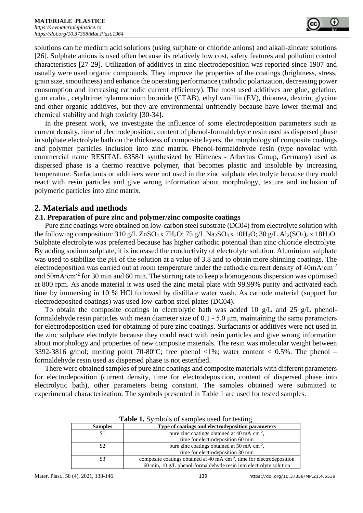solutions can be medium acid solutions (using sulphate or chloride anions) and alkali-zincate solutions [26]. Sulphate anions is used often because its relatively low cost, safety features and pollution control characteristics [27-29]. Utilization of additives in zinc electrodeposition was reported since 1907 and usually were used organic compounds. They improve the properties of the coatings (brightness, stress, grain size, smoothness) and enhance the operating performance (cathodic polarization, decreasing power consumption and increasing cathodic current efficiency). The most used additives are glue, gelatine, gum arabic, cetyltrimethylammonium bromide (CTAB), ethyl vanillin (EV), thiourea, dextrin, glycine and other organic additives, but they are environmental unfriendly because have lower thermal and chemical stability and high toxicity [30-34].

In the present work, we investigate the influence of some electrodeposition parameters such as current density, time of electrodeposition, content of phenol-formaldehyde resin used as dispersed phase in sulphate electrolyte bath on the thickness of composite layers, the morphology of composite coatings and polymer particles inclusion into zinc matrix. Phenol-formaldehyde resin (type novolac with commercial name RESITAL 6358/1 synthesized by Hüttenes - Albertus Group, Germany) used as dispersed phase is a thermo reactive polymer, that becomes plastic and insoluble by increasing temperature. Surfactants or additives were not used in the zinc sulphate electrolyte because they could react with resin particles and give wrong information about morphology, texture and inclusion of polymeric particles into zinc matrix.

# **2. Materials and methods**

#### **2.1. Preparation of pure zinc and polymer/zinc composite coatings**

Pure zinc coatings were obtained on low-carbon steel substrate (DC04) from electrolyte solution with the following composition:  $310 \text{ g/L}$  ZnSO<sub>4</sub> x  $7H_2O$ ;  $75 \text{ g/L}$  Na<sub>2</sub>SO<sub>4</sub> x  $10H_2O$ ;  $30 \text{ g/L}$  Al<sub>2</sub>(SO<sub>4</sub>)<sub>3</sub> x 18H<sub>2</sub>O. Sulphate electrolyte was preferred because has higher cathodic potential than zinc chloride electrolyte. By adding sodium sulphate, it is increased the conductivity of electrolyte solution. Aluminium sulphate was used to stabilize the *p*H of the solution at a value of 3.8 and to obtain more shinning coatings. The electrodeposition was carried out at room temperature under the cathodic current density of 40mA·cm<sup>-2</sup> and 50mA·cm<sup>-2</sup> for 30 min and 60 min. The stirring rate to keep a homogenous dispersion was optimised at 800 rpm. As anode material it was used the zinc metal plate with 99.99% purity and activated each time by immersing in 10 % HCl followed by distillate water wash. As cathode material (support for electrodeposited coatings) was used low-carbon steel plates (DC04).

To obtain the composite coatings in electrolytic bath was added 10 g/L and 25 g/L phenolformaldehyde resin particles with mean diameter size of 0.1 - 5.0 μm, maintaining the same parameters for electrodeposition used for obtaining of pure zinc coatings. Surfactants or additives were not used in the zinc sulphate electrolyte because they could react with resin particles and give wrong information about morphology and properties of new composite materials. The resin was molecular weight between 3392-3816 g/mol; melting point 70-80°C; free phenol <1%; water content < 0.5%. The phenol – formaldehyde resin used as dispersed phase is not esterified.

There were obtained samples of pure zinc coatings and composite materials with different parameters for electrodeposition (current density, time for electrodeposition, content of dispersed phase into electrolytic bath), other parameters being constant. The samples obtained were submitted to experimental characterization. The symbols presented in Table 1 are used for tested samples.

| $\sim$ which is a set of the state of the set of the set of $\sim$ |                                                                                    |  |  |  |
|--------------------------------------------------------------------|------------------------------------------------------------------------------------|--|--|--|
| <b>Samples</b>                                                     | Type of coatings and electrodeposition parameters                                  |  |  |  |
|                                                                    | pure zinc coatings obtained at 40 mA $\cdot$ cm <sup>-2</sup> ,                    |  |  |  |
|                                                                    | time for electrodeposition 60 min                                                  |  |  |  |
| S2                                                                 | pure zinc coatings obtained at 50 mA $\cdot$ cm <sup>-2</sup> ,                    |  |  |  |
|                                                                    | time for electrodeposition 30 min                                                  |  |  |  |
| S3                                                                 | composite coatings obtained at 40 mA·cm <sup>-2</sup> , time for electrodeposition |  |  |  |
|                                                                    | 60 min, $10 \text{ g/L}$ phenol-formal dehyde resin into electrolyte solution      |  |  |  |

| Table 1. Symbols of samples used for testing |  |
|----------------------------------------------|--|
|----------------------------------------------|--|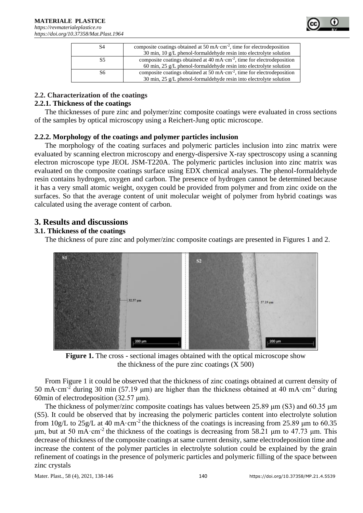

| S4 | composite coatings obtained at 50 mA $\cdot$ cm <sup>-2</sup> , time for electrodeposition |  |
|----|--------------------------------------------------------------------------------------------|--|
|    | 30 min, 10 $g/L$ phenol-formal dehyde resin into electrolyte solution                      |  |
| S5 | composite coatings obtained at 40 mA $\cdot$ cm <sup>-2</sup> , time for electrodeposition |  |
|    | 60 min, $25 \text{ g/L}$ phenol-formal dehyde resin into electrolyte solution              |  |
| S6 | composite coatings obtained at 50 mA $\cdot$ cm <sup>-2</sup> , time for electrodeposition |  |
|    | 30 min, $25 \text{ g/L}$ phenol-formaldehyde resin into electrolyte solution               |  |

#### **2.2. Characterization of the coatings**

#### **2.2.1. Thickness of the coatings**

The thicknesses of pure zinc and polymer/zinc composite coatings were evaluated in cross sections of the samples by optical microscopy using a Reichert-Jung optic microscope.

#### **2.2.2. Morphology of the coatings and polymer particles inclusion**

The morphology of the coating surfaces and polymeric particles inclusion into zinc matrix were evaluated by scanning electron microscopy and energy-dispersive X-ray spectroscopy using a scanning electron microscope type JEOL JSM-T220A. The polymeric particles inclusion into zinc matrix was evaluated on the composite coatings surface using EDX chemical analyses. The phenol-formaldehyde resin contains hydrogen, oxygen and carbon. The presence of hydrogen cannot be determined because it has a very small atomic weight, oxygen could be provided from polymer and from zinc oxide on the surfaces. So that the average content of unit molecular weight of polymer from hybrid coatings was calculated using the average content of carbon.

# **3. Results and discussions**

#### **3.1. Thickness of the coatings**

The thickness of pure zinc and polymer/zinc composite coatings are presented in Figures 1 and 2.



**Figure 1.** The cross - sectional images obtained with the optical microscope show the thickness of the pure zinc coatings  $(X 500)$ 

From Figure 1 it could be observed that the thickness of zinc coatings obtained at current density of 50 mA·cm<sup>-2</sup> during 30 min (57.19 μm) are higher than the thickness obtained at 40 mA·cm<sup>-2</sup> during 60min of electrodeposition (32.57 μm).

The thickness of polymer/zinc composite coatings has values between 25.89 μm (S3) and 60.35 μm (S5). It could be observed that by increasing the polymeric particles content into electrolyte solution from  $10g/L$  to  $25g/L$  at 40 mA·cm<sup>-2</sup> the thickness of the coatings is increasing from 25.89 µm to 60.35 μm, but at 50 mA·cm<sup>-2</sup> the thickness of the coatings is decreasing from 58.21 μm to 47.73 μm. This decrease of thickness of the composite coatings at same current density, same electrodeposition time and increase the content of the polymer particles in electrolyte solution could be explained by the grain refinement of coatings in the presence of polymeric particles and polymeric filling of the space between zinc crystals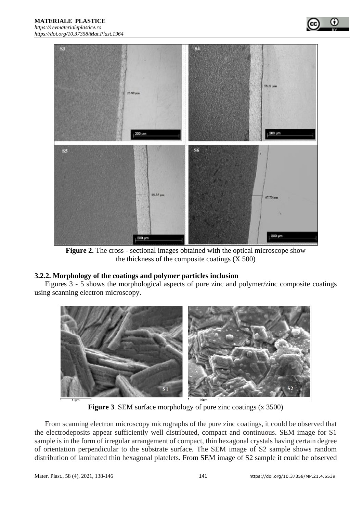

**Figure 2.** The cross - sectional images obtained with the optical microscope show the thickness of the composite coatings  $(X 500)$ 

#### **3.2.2. Morphology of the coatings and polymer particles inclusion**

Figures 3 - 5 shows the morphological aspects of pure zinc and polymer/zinc composite coatings using scanning electron microscopy.



**Figure 3**. SEM surface morphology of pure zinc coatings (x 3500)

From scanning electron microscopy micrographs of the pure zinc coatings, it could be observed that the electrodeposits appear sufficiently well distributed, compact and continuous. SEM image for S1 sample is in the form of irregular arrangement of compact, thin hexagonal crystals having certain degree of orientation perpendicular to the substrate surface. The SEM image of S2 sample shows random distribution of laminated thin hexagonal platelets. From SEM image of S2 sample it could be observed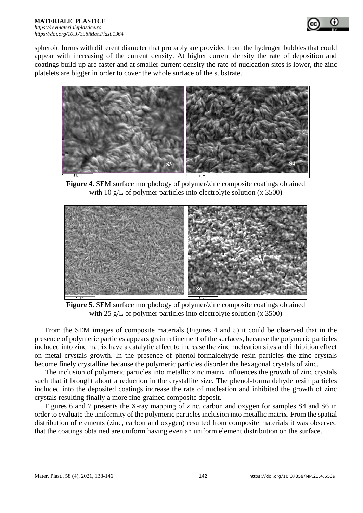

spheroid forms with different diameter that probably are provided from the hydrogen bubbles that could appear with increasing of the current density. At higher current density the rate of deposition and coatings build-up are faster and at smaller current density the rate of nucleation sites is lower, the zinc platelets are bigger in order to cover the whole surface of the substrate.



**Figure 4**. SEM surface morphology of polymer/zinc composite coatings obtained with 10 g/L of polymer particles into electrolyte solution (x 3500)



**Figure 5**. SEM surface morphology of polymer/zinc composite coatings obtained with 25 g/L of polymer particles into electrolyte solution (x 3500)

From the SEM images of composite materials (Figures 4 and 5) it could be observed that in the presence of polymeric particles appears grain refinement of the surfaces, because the polymeric particles included into zinc matrix have a catalytic effect to increase the zinc nucleation sites and inhibition effect on metal crystals growth. In the presence of phenol-formaldehyde resin particles the zinc crystals become finely crystalline because the polymeric particles disorder the hexagonal crystals of zinc.

The inclusion of polymeric particles into metallic zinc matrix influences the growth of zinc crystals such that it brought about a reduction in the crystallite size. The phenol-formaldehyde resin particles included into the deposited coatings increase the rate of nucleation and inhibited the growth of zinc crystals resulting finally a more fine-grained composite deposit.

Figures 6 and 7 presents the X-ray mapping of zinc, carbon and oxygen for samples S4 and S6 in order to evaluate the uniformity of the polymeric particles inclusion into metallic matrix. From the spatial distribution of elements (zinc, carbon and oxygen) resulted from composite materials it was observed that the coatings obtained are uniform having even an uniform element distribution on the surface.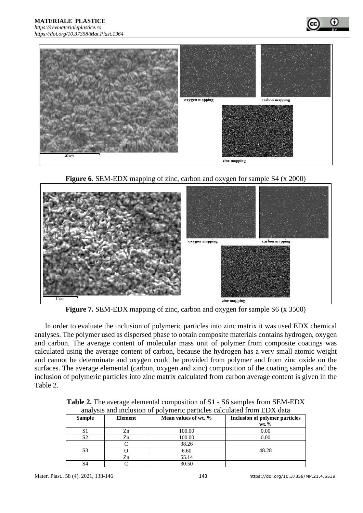

**Figure 6**. SEM-EDX mapping of zinc, carbon and oxygen for sample S4 (x 2000)



**Figure 7.** SEM-EDX mapping of zinc, carbon and oxygen for sample S6 (x 3500)

In order to evaluate the inclusion of polymeric particles into zinc matrix it was used EDX chemical analyses. The polymer used as dispersed phase to obtain composite materials contains hydrogen, oxygen and carbon. The average content of molecular mass unit of polymer from composite coatings was calculated using the average content of carbon, because the hydrogen has a very small atomic weight and cannot be determinate and oxygen could be provided from polymer and from zinc oxide on the surfaces. The average elemental (carbon, oxygen and zinc) composition of the coating samples and the inclusion of polymeric particles into zinc matrix calculated from carbon average content is given in the Table 2.

| <b>Sample</b>  | <b>Element</b> | Mean values of wt. % | <b>Inclusion of polymer particles</b><br>$wt. \%$ |
|----------------|----------------|----------------------|---------------------------------------------------|
| S1             | Zn             | 100.00               | 0.00                                              |
| S2             | Zn             | 100.00               | 0.00                                              |
|                |                | 38.26                |                                                   |
| S <sub>3</sub> |                | 6.60                 | 48.28                                             |
|                | Zn             | 55.14                |                                                   |
| S4             |                | 30.50                |                                                   |

**Table 2.** The average elemental composition of S1 - S6 samples from SEM-EDX analysis and inclusion of polymeric particles calculated from EDX data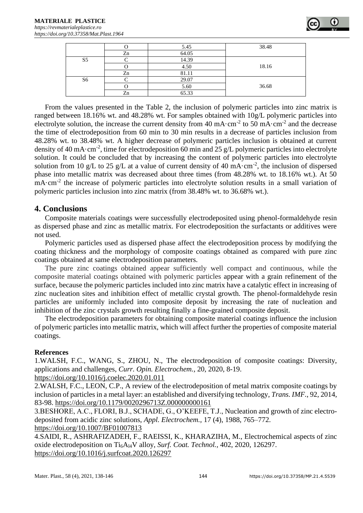|                |    | 5.45  | 38.48 |
|----------------|----|-------|-------|
|                | Zn | 64.05 |       |
| S <sub>5</sub> |    | 14.39 |       |
|                |    | 4.50  | 18.16 |
|                | Zn | 81.11 |       |
| S <sub>6</sub> |    | 29.07 |       |
|                |    | 5.60  | 36.68 |
|                | Zn | 65.33 |       |

From the values presented in the Table 2, the inclusion of polymeric particles into zinc matrix is ranged between 18.16% wt. and 48.28% wt. For samples obtained with 10g/L polymeric particles into electrolyte solution, the increase the current density from 40 mA $\cdot$ cm<sup>-2</sup> to 50 mA $\cdot$ cm<sup>-2</sup> and the decrease the time of electrodeposition from 60 min to 30 min results in a decrease of particles inclusion from 48.28% wt. to 38.48% wt. A higher decrease of polymeric particles inclusion is obtained at current density of 40 mA·cm<sup>-2</sup>, time for electrodeposition 60 min and 25 g/L polymeric particles into electrolyte solution. It could be concluded that by increasing the content of polymeric particles into electrolyte solution from 10 g/L to 25 g/L at a value of current density of 40 mA $\cdot$ cm<sup>-2</sup>, the inclusion of dispersed phase into metallic matrix was decreased about three times (from 48.28% wt. to 18.16% wt.). At 50 mA·cm<sup>-2</sup> the increase of polymeric particles into electrolyte solution results in a small variation of polymeric particles inclusion into zinc matrix (from 38.48% wt. to 36.68% wt.).

# **4. Conclusions**

Composite materials coatings were successfully electrodeposited using phenol-formaldehyde resin as dispersed phase and zinc as metallic matrix. For electrodeposition the surfactants or additives were not used.

Polymeric particles used as dispersed phase affect the electrodeposition process by modifying the coating thickness and the morphology of composite coatings obtained as compared with pure zinc coatings obtained at same electrodeposition parameters.

The pure zinc coatings obtained appear sufficiently well compact and continuous, while the composite material coatings obtained with polymeric particles appear with a grain refinement of the surface, because the polymeric particles included into zinc matrix have a catalytic effect in increasing of zinc nucleation sites and inhibition effect of metallic crystal growth. The phenol-formaldehyde resin particles are uniformly included into composite deposit by increasing the rate of nucleation and inhibition of the zinc crystals growth resulting finally a fine-grained composite deposit.

The electrodeposition parameters for obtaining composite material coatings influence the inclusion of polymeric particles into metallic matrix, which will affect further the properties of composite material coatings.

### **References**

1.WALSH, F.C., WANG, S., ZHOU, N., The electrodeposition of composite coatings: Diversity, applications and challenges, *Curr. Opin. Electrochem.,* 20, 2020, 8-19.

<https://doi.org/10.1016/j.coelec.2020.01.011>

2.WALSH, F.C., LEON, C.P., A review of the electrodeposition of metal matrix composite coatings by inclusion of particles in a metal layer: an established and diversifying technology, *Trans. IMF.*, 92, 2014, 83-98.<https://doi.org/10.1179/0020296713Z.000000000161>

3.BESHORE, A.C., FLORI, B.J., SCHADE, G., O'KEEFE, T.J., Nucleation and growth of zinc electrodeposited from acidic zinc solutions, *Appl. Electrochem.,* 17 (4), 1988, 765–772. <https://doi.org/10.1007/BF01007813>

4.SAIDI, R., ASHRAFIZADEH, F., RAEISSI, K., KHARAZIHA, M., Electrochemical aspects of zinc oxide electrodeposition on Ti6Al4V alloy, *Surf. Coat. Technol.,* 402, 2020, 126297. <https://doi.org/10.1016/j.surfcoat.2020.126297>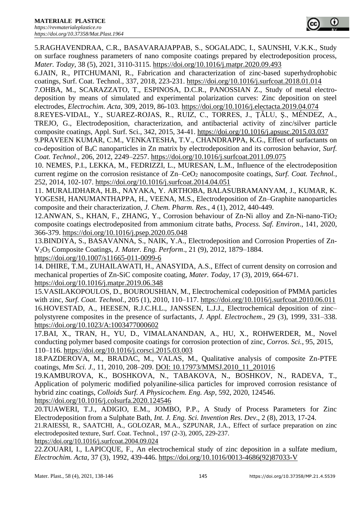5.RAGHAVENDRAA, C.R., BASAVARAJAPPAB, S., SOGALADC, I., SAUNSHI, V.K.K., Study on surface roughness parameters of nano composite coatings prepared by electrodeposition process, *Mater. Today*, 38 (5), 2021, 3110-3115.<https://doi.org/10.1016/j.matpr.2020.09.493>

6.JAIN, R., PITCHUMANI, R., [Fabrication and characterization of zinc-based superhydrophobic](https://www.sciencedirect.com/science/article/pii/S0257897218300148)  [coatings,](https://www.sciencedirect.com/science/article/pii/S0257897218300148) Surf. Coat. Technol., 337, 2018, 223-231.<https://doi.org/10.1016/j.surfcoat.2018.01.014>

7.OHBA, M., SCARAZZATO, T., ESPINOSA, D.C.R., PANOSSIAN Z., Study of metal electrodeposition by means of simulated and experimental polarization curves: Zinc deposition on steel electrodes, *Electrochim. Acta*, 309, 2019, 86-103.<https://doi.org/10.1016/j.electacta.2019.04.074>

8.REYES-VIDAL, Y., SUAREZ-ROJAS, R., RUIZ, C., TORRES, J., ŢĂLU, Ş., MÉNDEZ, A., TREJO, G., Electrodeposition, characterization, and antibacterial activity of zinc/silver particle composite coatings, Appl. Surf. Sci., 342, 2015, 34-41.<https://doi.org/10.1016/j.apsusc.2015.03.037>

9.PRAVEEN KUMAR, C.M., VENKATESHA, T.V., CHANDRAPPA, K.G., Effect of surfactants on co-deposition of B4C nanoparticles in Zn matrix by electrodeposition and its corrosion behavior, *Surf. Coat. Technol*., 206, 2012, 2249–2257.<https://doi.org/10.1016/j.surfcoat.2011.09.075>

10. NEMES, P.I., LEKKA, M., FEDRIZZI, L., MURESAN, L.M., Influence of the electrodeposition current regime on the corrosion resistance of Zn–CeO<sub>2</sub> nanocomposite coatings, *Surf. Coat. Technol.*, 252, 2014, 102-107.<https://doi.org/10.1016/j.surfcoat.2014.04.051>

11. MURALIDHARA, H.B., NAYAKA, Y. ARTHOBA, BALASUBRAMANYAM, J., KUMAR, K. YOGESH, HANUMANTHAPPA, H., VEENA, M.S., Electrodeposition of Zn–Graphite nanoparticles composite and their characterization, *J. Chem. Pharm. Res.*, 4 (1), 2012, 440-449.

12.ANWAN, S., [KHAN,](https://www.sciencedirect.com/author/7402008246/faisal-i-khan) F., [ZHANG,](https://www.sciencedirect.com/science/article/pii/S0957582020315342#!) Y., Corrosion behaviour of Zn-Ni alloy and Zn-Ni-nano-TiO<sup>2</sup> composite coatings electrodeposited from ammonium citrate baths, *Process. Saf. Environ*., 141, 2020, 366-379.<https://doi.org/10.1016/j.psep.2020.05.048>

13.BINDIYA, S., BASAVANNA, S., NAIK, Y.A., Electrodeposition and Corrosion Properties of Zn-V2O<sup>5</sup> Composite Coatings, *J. Mater. Eng. Perform*., 21 (9), 2012, 1879–1884.

<https://doi.org/10.1007/s11665-011-0099-6>

14. DHIRE, T.M., ZUHAILAWATI, H., ANASYIDA, A.S., Effect of current density on corrosion and mechanical properties of Zn-SiC composite coating, *Mater. Today,* 17 (3), 2019, 664-671. <https://doi.org/10.1016/j.matpr.2019.06.348>

15.VASILAKOPOULOS, D., BOUROUSHIAN, M., Electrochemical codeposition of PMMA particles with zinc, *Surf. Coat. Technol.*, 205 (1), 2010, 110–117.<https://doi.org/10.1016/j.surfcoat.2010.06.011> 16.HOVESTAD, A., HEESEN, R.J.C.H.L., JANSSEN, L.J.J., Electrochemical deposition of zinc– polystyrene composites in the presence of surfactants, *J. Appl. Electrochem*., 29 (3), 1999, 331–338. <https://doi.org/10.1023/A:1003477000602>

17.BAI, X., TRAN, H., YU, D., VIMALANANDAN, A., HU, X., ROHWERDER, M., Novel conducting polymer based composite coatings for corrosion protection of zinc, *Corros. Sci.*, 95, 2015, 110–116.<https://doi.org/10.1016/j.corsci.2015.03.003>

18.PAZDEROVA, M., BRADAC, M., VALAS, M., Qualitative analysis of composite Zn-PTFE coatings, *Mm Sci. J.,* 11, 2010, 208–209. [DOI: 10.17973/MMSJ.2010\\_11\\_201016](http://doi.org./10.17973/MMSJ.2010_11_201016) 

19.KAMBUROVA, K., BOSHKOVA, N., TABAKOVA, N., BOSHKOV, N., RADEVA, T., Application of polymeric modified polyaniline-silica particles for improved corrosion resistance of hybrid zinc coatings, *Colloids Surf. A Physicochem. Eng. Asp*, 592, 2020, 124546. <https://doi.org/10.1016/j.colsurfa.2020.124546>

20.TUAWERI, T.J., ADIGIO, E.M., JOMBO, P.P., A Study of Process Parameters for Zinc Electrodeposition from a Sulphate Bath, *Int. J. Eng. Sci. Invention Res. Dev*., 2 (8), 2013, 17-24.

21.RAIESSI, R., SAATCHI, A., GOLOZAR, M.A., SZPUNAR, J.A., [Effect of surface preparation on zinc](https://www.sciencedirect.com/science/article/pii/S0257897204009107)  [electrodeposited texture,](https://www.sciencedirect.com/science/article/pii/S0257897204009107) Surf. Coat. Technol., 197 (2-3), 2005, 229-237.

<https://doi.org/10.1016/j.surfcoat.2004.09.024>

22.ZOUARI, I., LAPICQUE, F., An electrochemical study of zinc deposition in a sulfate medium, *Electrochim. Acta*, 37 (3), 1992, 439-446. [https://doi.org/10.1016/0013-4686\(92\)87033-V](https://doi.org/10.1016/0013-4686(92)87033-V)